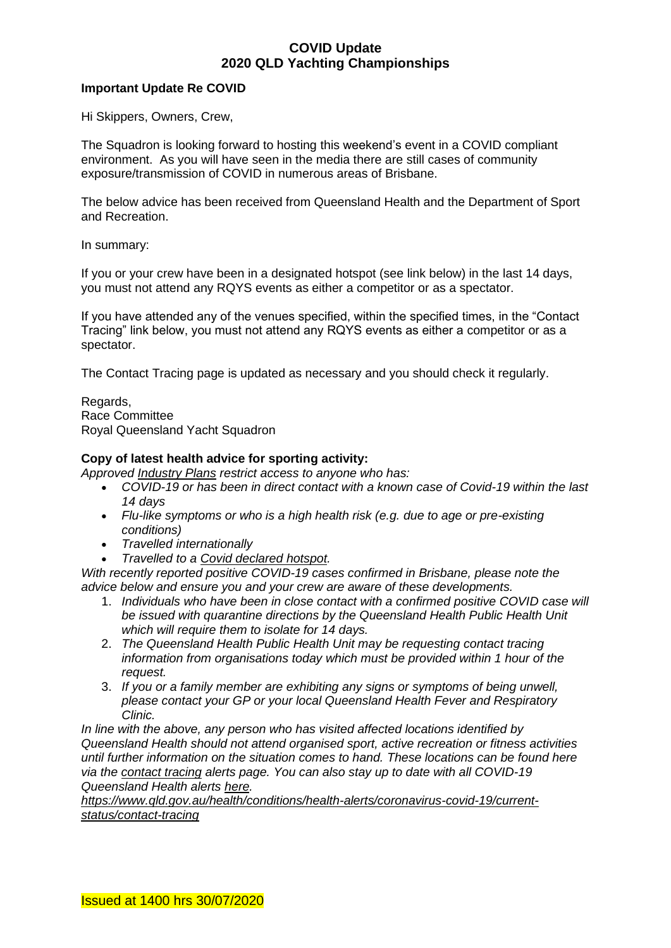## **COVID Update 2020 QLD Yachting Championships**

#### **Important Update Re COVID**

Hi Skippers, Owners, Crew,

The Squadron is looking forward to hosting this weekend's event in a COVID compliant environment. As you will have seen in the media there are still cases of community exposure/transmission of COVID in numerous areas of Brisbane.

The below advice has been received from Queensland Health and the Department of Sport and Recreation.

In summary:

If you or your crew have been in a designated hotspot (see link below) in the last 14 days, you must not attend any RQYS events as either a competitor or as a spectator.

If you have attended any of the venues specified, within the specified times, in the "Contact Tracing" link below, you must not attend any RQYS events as either a competitor or as a spectator.

The Contact Tracing page is updated as necessary and you should check it regularly.

Regards, Race Committee Royal Queensland Yacht Squadron

#### **Copy of latest health advice for sporting activity:**

*Approved [Industry Plans](https://nam01.safelinks.protection.outlook.com/?url=https%3A%2F%2Fwww.vision6.com.au%2Fch%2F38941%2Fjtvwn%2F2954522%2FWiw4KMNP1nUJYt6zKbNnb8WFaRM4b1inMC2.qaE1.html&data=02%7C01%7C%7C2ab57119362c4770218408d83437a05d%7C84df9e7fe9f640afb435aaaaaaaaaaaa%7C1%7C0%7C637316760813958683&sdata=Y1Ee1jtp97iwgJUBiOSq3WuMT%2Bqz8UR6%2FcblMHE3wDA%3D&reserved=0) restrict access to anyone who has:*

- *COVID-19 or has been in direct contact with a known case of Covid-19 within the last 14 days*
- *Flu-like symptoms or who is a high health risk (e.g. due to age or pre-existing conditions)*
- *Travelled internationally*
- *Travelled to a [Covid declared hotspot.](https://nam01.safelinks.protection.outlook.com/?url=https%3A%2F%2Fwww.vision6.com.au%2Fch%2F38941%2Fjtvwn%2F2954523%2FWiw4KMNP1nUJYt6zKbNnphfEx2IT63yMasRGbcGR.html&data=02%7C01%7C%7C2ab57119362c4770218408d83437a05d%7C84df9e7fe9f640afb435aaaaaaaaaaaa%7C1%7C0%7C637316760813958683&sdata=JfUBVCf8IPt3W6BSft%2BS%2BMI6zE%2Fm5tTVrZOqpsoNOs8%3D&reserved=0)*

*With recently reported positive COVID-19 cases confirmed in Brisbane, please note the advice below and ensure you and your crew are aware of these developments.*

- 1. *Individuals who have been in close contact with a confirmed positive COVID case will be issued with quarantine directions by the Queensland Health Public Health Unit which will require them to isolate for 14 days.*
- 2. *The Queensland Health Public Health Unit may be requesting contact tracing information from organisations today which must be provided within 1 hour of the request.*
- 3. *If you or a family member are exhibiting any signs or symptoms of being unwell, please contact your GP or your local Queensland Health Fever and Respiratory Clinic.*

*In line with the above, any person who has visited affected locations identified by Queensland Health should not attend organised sport, active recreation or fitness activities until further information on the situation comes to hand. These locations can be found here via the [contact tracing](https://nam01.safelinks.protection.outlook.com/?url=https%3A%2F%2Fwww.vision6.com.au%2Fch%2F38941%2Fjtvwn%2F2954524%2FWiw4KMNP1nUJYt6zKbNnYF7_rg9eVhZjELu1H5CN.html&data=02%7C01%7C%7C2ab57119362c4770218408d83437a05d%7C84df9e7fe9f640afb435aaaaaaaaaaaa%7C1%7C0%7C637316760813968678&sdata=jXRlksQRdXNsSowo7w5weVgtWpmr%2BmicHZy7z0jmoeM%3D&reserved=0) alerts page. You can also stay up to date with all COVID-19 Queensland Health alerts [here.](https://nam01.safelinks.protection.outlook.com/?url=https%3A%2F%2Fwww.vision6.com.au%2Fch%2F38941%2Fjtvwn%2F2954525%2FWiw4KMNP1nUJYt6zKbNnNiWxcvXx_M9NroYZmS8E.html&data=02%7C01%7C%7C2ab57119362c4770218408d83437a05d%7C84df9e7fe9f640afb435aaaaaaaaaaaa%7C1%7C0%7C637316760813978677&sdata=cYK0A%2FUyUyuW%2BXSK6qRA7dvL385bUIq%2BGhhKbkIRaIQ%3D&reserved=0)*

*[https://www.qld.gov.au/health/conditions/health-alerts/coronavirus-covid-19/current](https://nam01.safelinks.protection.outlook.com/?url=https%3A%2F%2Fwww.qld.gov.au%2Fhealth%2Fconditions%2Fhealth-alerts%2Fcoronavirus-covid-19%2Fcurrent-status%2Fcontact-tracing&data=02%7C01%7C%7C2ab57119362c4770218408d83437a05d%7C84df9e7fe9f640afb435aaaaaaaaaaaa%7C1%7C0%7C637316760813988669&sdata=BCqY4uLEwx7iwQmy%2B0EWr7TdD4DEA5WT1RCHxZN%2BX6k%3D&reserved=0)[status/contact-tracing](https://nam01.safelinks.protection.outlook.com/?url=https%3A%2F%2Fwww.qld.gov.au%2Fhealth%2Fconditions%2Fhealth-alerts%2Fcoronavirus-covid-19%2Fcurrent-status%2Fcontact-tracing&data=02%7C01%7C%7C2ab57119362c4770218408d83437a05d%7C84df9e7fe9f640afb435aaaaaaaaaaaa%7C1%7C0%7C637316760813988669&sdata=BCqY4uLEwx7iwQmy%2B0EWr7TdD4DEA5WT1RCHxZN%2BX6k%3D&reserved=0)*